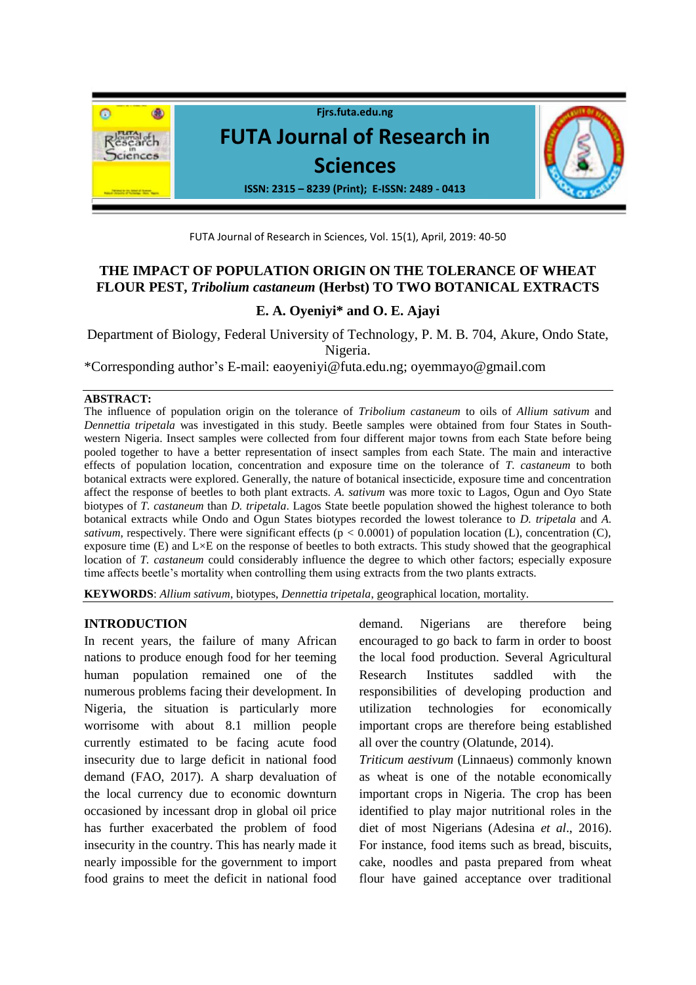

FUTA Journal of Research in Sciences, Vol. 15(1), April, 2019: 40-50

# **THE IMPACT OF POPULATION ORIGIN ON THE TOLERANCE OF WHEAT FLOUR PEST,** *Tribolium castaneum* **(Herbst) TO TWO BOTANICAL EXTRACTS**

## **E. A. Oyeniyi\* and O. E. Ajayi**

Department of Biology, Federal University of Technology, P. M. B. 704, Akure, Ondo State, Nigeria.

\*Corresponding author's E-mail: [eaoyeniyi@futa.edu.ng;](mailto:eaoyeniyi@futa.edu.ng) [oyemmayo@gmail.com](mailto:oyemmayo@gmail.com)

#### **ABSTRACT:**

The influence of population origin on the tolerance of *Tribolium castaneum* to oils of *Allium sativum* and *Dennettia tripetala* was investigated in this study. Beetle samples were obtained from four States in Southwestern Nigeria. Insect samples were collected from four different major towns from each State before being pooled together to have a better representation of insect samples from each State. The main and interactive effects of population location, concentration and exposure time on the tolerance of *T. castaneum* to both botanical extracts were explored. Generally, the nature of botanical insecticide, exposure time and concentration affect the response of beetles to both plant extracts. *A. sativum* was more toxic to Lagos, Ogun and Oyo State biotypes of *T. castaneum* than *D. tripetala*. Lagos State beetle population showed the highest tolerance to both botanical extracts while Ondo and Ogun States biotypes recorded the lowest tolerance to *D. tripetala* and *A. sativum*, respectively. There were significant effects ( $p < 0.0001$ ) of population location (L), concentration (C), exposure time  $(E)$  and  $L \times E$  on the response of beetles to both extracts. This study showed that the geographical location of *T. castaneum* could considerably influence the degree to which other factors; especially exposure time affects beetle's mortality when controlling them using extracts from the two plants extracts.

**KEYWORDS**: *Allium sativum*, biotypes, *Dennettia tripetala*, geographical location, mortality.

#### **INTRODUCTION**

In recent years, the failure of many African nations to produce enough food for her teeming human population remained one of the numerous problems facing their development. In Nigeria, the situation is particularly more worrisome with about 8.1 million people currently estimated to be facing acute food insecurity due to large deficit in national food demand (FAO, 2017). A sharp devaluation of the local currency due to economic downturn occasioned by incessant drop in global oil price has further exacerbated the problem of food insecurity in the country. This has nearly made it nearly impossible for the government to import food grains to meet the deficit in national food

demand. Nigerians are therefore being encouraged to go back to farm in order to boost the local food production. Several Agricultural Research Institutes saddled with the responsibilities of developing production and utilization technologies for economically important crops are therefore being established all over the country (Olatunde, 2014).

*Triticum aestivum* (Linnaeus) commonly known as wheat is one of the notable economically important crops in Nigeria. The crop has been identified to play major nutritional roles in the diet of most Nigerians (Adesina *et al*., 2016). For instance, food items such as bread, biscuits, cake, noodles and pasta prepared from wheat flour have gained acceptance over traditional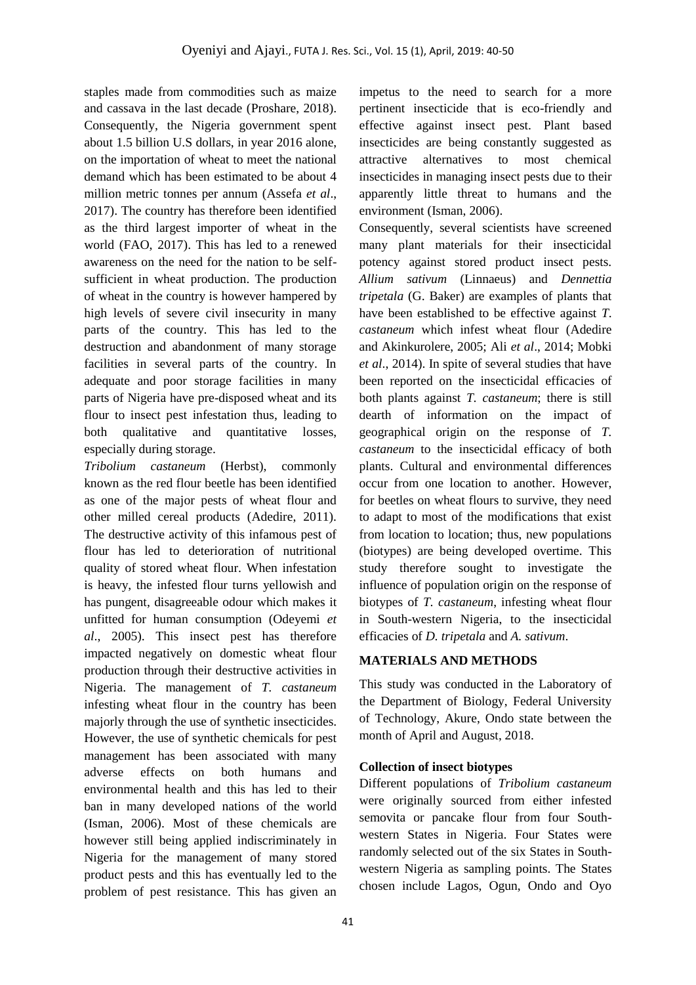staples made from commodities such as maize and cassava in the last decade (Proshare, 2018). Consequently, the Nigeria government spent about 1.5 billion U.S dollars, in year 2016 alone, on the importation of wheat to meet the national demand which has been estimated to be about 4 million metric tonnes per annum (Assefa *et al*., 2017). The country has therefore been identified as the third largest importer of wheat in the world (FAO, 2017). This has led to a renewed awareness on the need for the nation to be selfsufficient in wheat production. The production of wheat in the country is however hampered by high levels of severe civil insecurity in many parts of the country. This has led to the destruction and abandonment of many storage facilities in several parts of the country. In adequate and poor storage facilities in many parts of Nigeria have pre-disposed wheat and its flour to insect pest infestation thus, leading to both qualitative and quantitative losses, especially during storage.

*Tribolium castaneum* (Herbst), commonly known as the red flour beetle has been identified as one of the major pests of wheat flour and other milled cereal products (Adedire, 2011). The destructive activity of this infamous pest of flour has led to deterioration of nutritional quality of stored wheat flour. When infestation is heavy, the infested flour turns yellowish and has pungent, disagreeable odour which makes it unfitted for human consumption (Odeyemi *et al*., 2005). This insect pest has therefore impacted negatively on domestic wheat flour production through their destructive activities in Nigeria. The management of *T. castaneum*  infesting wheat flour in the country has been majorly through the use of synthetic insecticides. However, the use of synthetic chemicals for pest management has been associated with many adverse effects on both humans and environmental health and this has led to their ban in many developed nations of the world (Isman, 2006). Most of these chemicals are however still being applied indiscriminately in Nigeria for the management of many stored product pests and this has eventually led to the problem of pest resistance. This has given an

impetus to the need to search for a more pertinent insecticide that is eco-friendly and effective against insect pest. Plant based insecticides are being constantly suggested as attractive alternatives to most chemical insecticides in managing insect pests due to their apparently little threat to humans and the environment (Isman, 2006).

Consequently, several scientists have screened many plant materials for their insecticidal potency against stored product insect pests. *Allium sativum* (Linnaeus) and *Dennettia tripetala* (G. Baker) are examples of plants that have been established to be effective against *T*. *castaneum* which infest wheat flour (Adedire and Akinkurolere, 2005; Ali *et al*., 2014; Mobki *et al*., 2014). In spite of several studies that have been reported on the insecticidal efficacies of both plants against *T. castaneum*; there is still dearth of information on the impact of geographical origin on the response of *T. castaneum* to the insecticidal efficacy of both plants. Cultural and environmental differences occur from one location to another. However, for beetles on wheat flours to survive, they need to adapt to most of the modifications that exist from location to location; thus, new populations (biotypes) are being developed overtime. This study therefore sought to investigate the influence of population origin on the response of biotypes of *T. castaneum*, infesting wheat flour in South-western Nigeria, to the insecticidal efficacies of *D. tripetala* and *A. sativum*.

## **MATERIALS AND METHODS**

This study was conducted in the Laboratory of the Department of Biology, Federal University of Technology, Akure, Ondo state between the month of April and August, 2018.

### **Collection of insect biotypes**

Different populations of *Tribolium castaneum* were originally sourced from either infested semovita or pancake flour from four Southwestern States in Nigeria. Four States were randomly selected out of the six States in Southwestern Nigeria as sampling points. The States chosen include Lagos, Ogun, Ondo and Oyo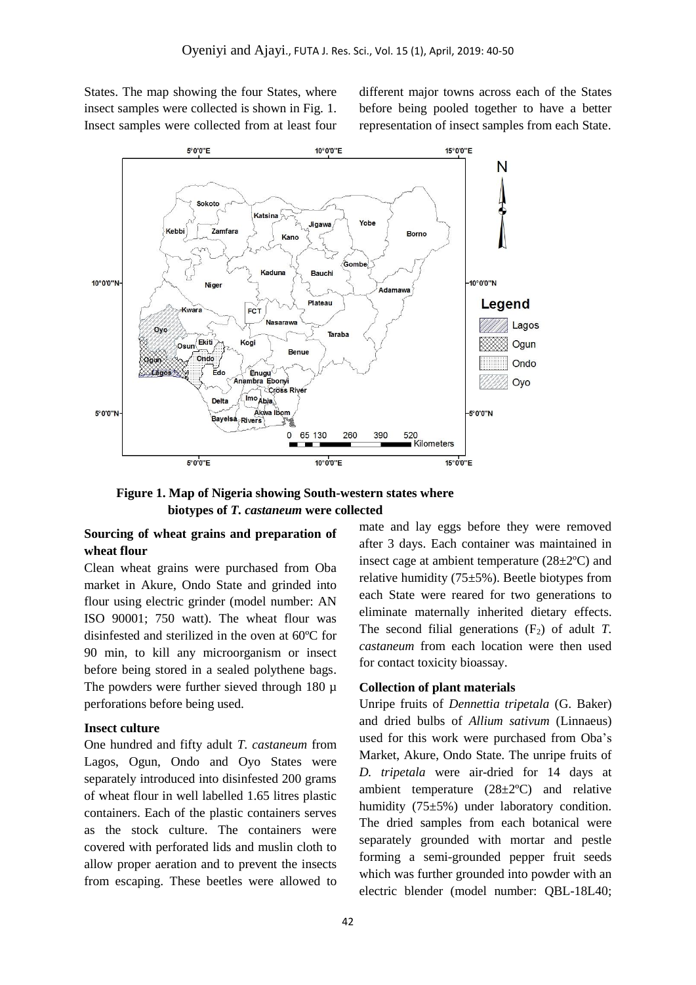States. The map showing the four States, where insect samples were collected is shown in Fig. 1. Insect samples were collected from at least four

different major towns across each of the States before being pooled together to have a better representation of insect samples from each State.



 **Figure 1. Map of Nigeria showing South-western states where biotypes of** *T. castaneum* **were collected**

### **Sourcing of wheat grains and preparation of wheat flour**

Clean wheat grains were purchased from Oba market in Akure, Ondo State and grinded into flour using electric grinder (model number: AN ISO 90001; 750 watt). The wheat flour was disinfested and sterilized in the oven at 60ºC for 90 min, to kill any microorganism or insect before being stored in a sealed polythene bags. The powders were further sieved through 180  $\mu$ perforations before being used.

#### **Insect culture**

One hundred and fifty adult *T. castaneum* from Lagos, Ogun, Ondo and Oyo States were separately introduced into disinfested 200 grams of wheat flour in well labelled 1.65 litres plastic containers. Each of the plastic containers serves as the stock culture. The containers were covered with perforated lids and muslin cloth to allow proper aeration and to prevent the insects from escaping. These beetles were allowed to

mate and lay eggs before they were removed after 3 days. Each container was maintained in insect cage at ambient temperature  $(28\pm2\degree C)$  and relative humidity (75±5%). Beetle biotypes from each State were reared for two generations to eliminate maternally inherited dietary effects. The second filial generations  $(F_2)$  of adult *T*. *castaneum* from each location were then used for contact toxicity bioassay.

#### **Collection of plant materials**

Unripe fruits of *Dennettia tripetala* (G. Baker) and dried bulbs of *Allium sativum* (Linnaeus) used for this work were purchased from Oba's Market, Akure, Ondo State. The unripe fruits of *D. tripetala* were air-dried for 14 days at ambient temperature (28±2ºC) and relative humidity (75±5%) under laboratory condition. The dried samples from each botanical were separately grounded with mortar and pestle forming a semi-grounded pepper fruit seeds which was further grounded into powder with an electric blender (model number: QBL-18L40;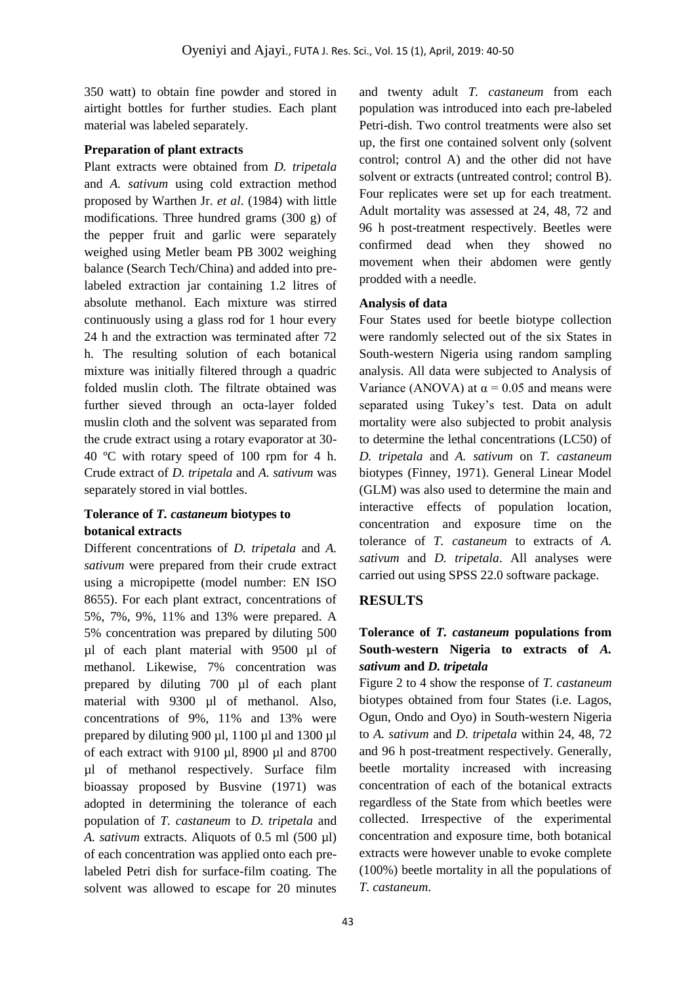350 watt) to obtain fine powder and stored in airtight bottles for further studies. Each plant material was labeled separately.

### **Preparation of plant extracts**

Plant extracts were obtained from *D. tripetala* and *A. sativum* using cold extraction method proposed by Warthen Jr. *et al*. (1984) with little modifications. Three hundred grams (300 g) of the pepper fruit and garlic were separately weighed using Metler beam PB 3002 weighing balance (Search Tech/China) and added into prelabeled extraction jar containing 1.2 litres of absolute methanol. Each mixture was stirred continuously using a glass rod for 1 hour every 24 h and the extraction was terminated after 72 h. The resulting solution of each botanical mixture was initially filtered through a quadric folded muslin cloth. The filtrate obtained was further sieved through an octa-layer folded muslin cloth and the solvent was separated from the crude extract using a rotary evaporator at 30- 40 ºC with rotary speed of 100 rpm for 4 h. Crude extract of *D. tripetala* and *A. sativum* was separately stored in vial bottles.

### **Tolerance of** *T. castaneum* **biotypes to botanical extracts**

Different concentrations of *D. tripetala* and *A. sativum* were prepared from their crude extract using a micropipette (model number: EN ISO 8655). For each plant extract, concentrations of 5%, 7%, 9%, 11% and 13% were prepared. A 5% concentration was prepared by diluting 500 µl of each plant material with 9500 µl of methanol. Likewise, 7% concentration was prepared by diluting 700 µl of each plant material with 9300 µl of methanol. Also, concentrations of 9%, 11% and 13% were prepared by diluting 900 µl, 1100 µl and 1300 µl of each extract with 9100 µl, 8900 µl and 8700 µl of methanol respectively. Surface film bioassay proposed by Busvine (1971) was adopted in determining the tolerance of each population of *T. castaneum* to *D. tripetala* and *A. sativum* extracts. Aliquots of 0.5 ml (500 µl) of each concentration was applied onto each prelabeled Petri dish for surface-film coating. The solvent was allowed to escape for 20 minutes

and twenty adult *T. castaneum* from each population was introduced into each pre-labeled Petri-dish. Two control treatments were also set up, the first one contained solvent only (solvent control; control A) and the other did not have solvent or extracts (untreated control; control B). Four replicates were set up for each treatment. Adult mortality was assessed at 24, 48, 72 and 96 h post-treatment respectively. Beetles were confirmed dead when they showed no movement when their abdomen were gently prodded with a needle.

### **Analysis of data**

Four States used for beetle biotype collection were randomly selected out of the six States in South-western Nigeria using random sampling analysis. All data were subjected to Analysis of Variance (ANOVA) at  $\alpha$  = 0.05 and means were separated using Tukey's test. Data on adult mortality were also subjected to probit analysis to determine the lethal concentrations (LC50) of *D. tripetala* and *A. sativum* on *T. castaneum* biotypes (Finney, 1971). General Linear Model (GLM) was also used to determine the main and interactive effects of population location, concentration and exposure time on the tolerance of *T. castaneum* to extracts of *A. sativum* and *D. tripetala*. All analyses were carried out using SPSS 22.0 software package.

## **RESULTS**

## **Tolerance of** *T. castaneum* **populations from South-western Nigeria to extracts of** *A. sativum* **and** *D. tripetala*

Figure 2 to 4 show the response of *T. castaneum*  biotypes obtained from four States (i.e. Lagos, Ogun, Ondo and Oyo) in South-western Nigeria to *A. sativum* and *D. tripetala* within 24, 48, 72 and 96 h post-treatment respectively. Generally, beetle mortality increased with increasing concentration of each of the botanical extracts regardless of the State from which beetles were collected. Irrespective of the experimental concentration and exposure time, both botanical extracts were however unable to evoke complete (100%) beetle mortality in all the populations of *T. castaneum*.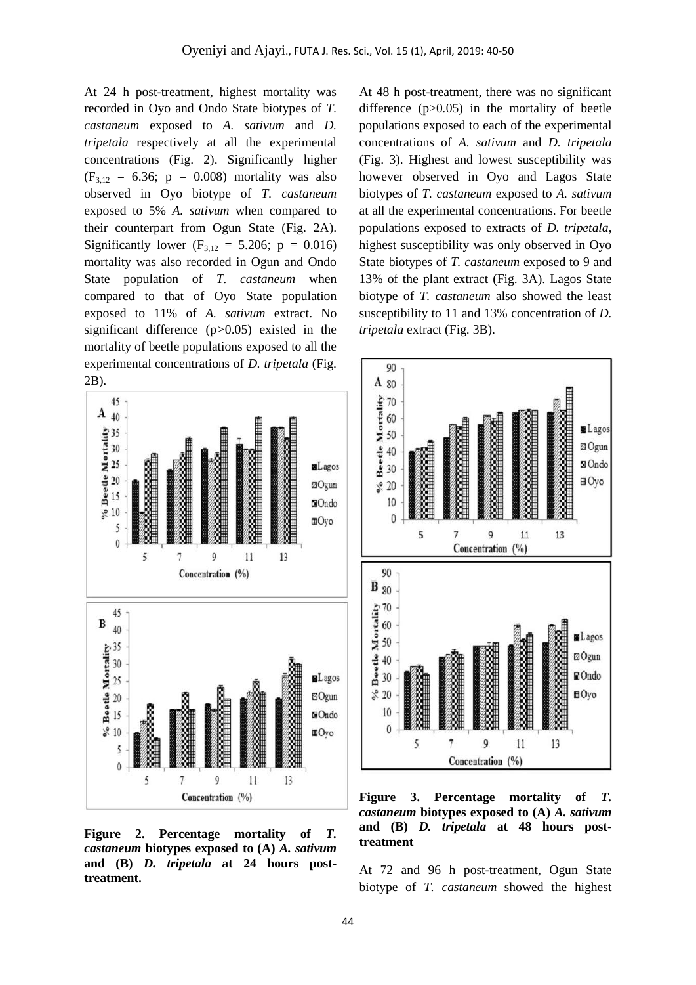At 24 h post-treatment, highest mortality was recorded in Oyo and Ondo State biotypes of *T. castaneum* exposed to *A. sativum* and *D. tripetala* respectively at all the experimental concentrations (Fig. 2). Significantly higher  $(F_{3,12} = 6.36; p = 0.008)$  mortality was also observed in Oyo biotype of *T. castaneum*  exposed to 5% *A. sativum* when compared to their counterpart from Ogun State (Fig. 2A). Significantly lower  $(F_{3,12} = 5.206; p = 0.016)$ mortality was also recorded in Ogun and Ondo State population of *T. castaneum* when compared to that of Oyo State population exposed to 11% of *A. sativum* extract. No significant difference (p*>*0.05) existed in the mortality of beetle populations exposed to all the experimental concentrations of *D. tripetala* (Fig. 2B)*.*



**Figure 2. Percentage mortality of** *T. castaneum* **biotypes exposed to (A)** *A. sativum*  **and (B)** *D. tripetala* **at 24 hours posttreatment.** 

At 48 h post-treatment, there was no significant difference (p>0*.*05) in the mortality of beetle populations exposed to each of the experimental concentrations of *A. sativum* and *D. tripetala* (Fig. 3). Highest and lowest susceptibility was however observed in Oyo and Lagos State biotypes of *T. castaneum* exposed to *A. sativum*  at all the experimental concentrations. For beetle populations exposed to extracts of *D. tripetala*, highest susceptibility was only observed in Oyo State biotypes of *T. castaneum* exposed to 9 and 13% of the plant extract (Fig. 3A). Lagos State biotype of *T. castaneum* also showed the least susceptibility to 11 and 13% concentration of *D. tripetala* extract (Fig. 3B).



**Figure 3. Percentage mortality of** *T. castaneum* **biotypes exposed to (A)** *A. sativum*  **and (B)** *D. tripetala* **at 48 hours posttreatment**

At 72 and 96 h post-treatment, Ogun State biotype of *T. castaneum* showed the highest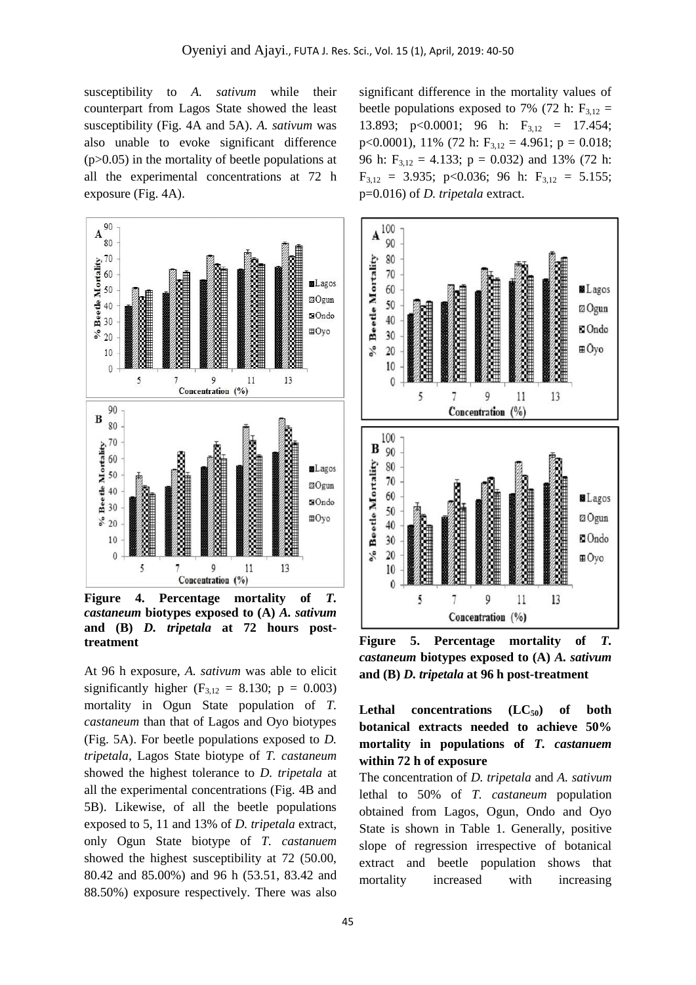susceptibility to *A. sativum* while their counterpart from Lagos State showed the least susceptibility (Fig. 4A and 5A). *A. sativum* was also unable to evoke significant difference (p>0.05) in the mortality of beetle populations at all the experimental concentrations at 72 h exposure (Fig. 4A).



**Figure 4. Percentage mortality of** *T. castaneum* **biotypes exposed to (A)** *A. sativum*  **and (B)** *D. tripetala* **at 72 hours posttreatment**

At 96 h exposure, *A. sativum* was able to elicit significantly higher ( $F_{3,12} = 8.130$ ;  $p = 0.003$ ) mortality in Ogun State population of *T. castaneum* than that of Lagos and Oyo biotypes (Fig. 5A). For beetle populations exposed to *D. tripetala*, Lagos State biotype of *T. castaneum*  showed the highest tolerance to *D. tripetala* at all the experimental concentrations (Fig. 4B and 5B). Likewise, of all the beetle populations exposed to 5, 11 and 13% of *D. tripetala* extract, only Ogun State biotype of *T. castanuem*  showed the highest susceptibility at 72 (50.00, 80.42 and 85.00%) and 96 h (53.51, 83.42 and 88.50%) exposure respectively. There was also

significant difference in the mortality values of beetle populations exposed to 7% (72 h:  $F_{3,12}$  = 13.893;  $p<0.0001$ ; 96 h:  $F_{3,12} = 17.454$ ; p<0.0001), 11% (72 h:  $F_{3,12} = 4.961$ ; p = 0.018; 96 h:  $F_{3,12} = 4.133$ ; p = 0.032) and 13% (72 h:  $F_{3,12} = 3.935$ ; p<0.036; 96 h:  $F_{3,12} = 5.155$ ; p=0.016) of *D. tripetala* extract.



**Figure 5. Percentage mortality of** *T. castaneum* **biotypes exposed to (A)** *A. sativum*  **and (B)** *D. tripetala* **at 96 h post-treatment**

Lethal concentrations  $(LC_{50})$  of both **botanical extracts needed to achieve 50% mortality in populations of** *T. castanuem*  **within 72 h of exposure**

The concentration of *D. tripetala* and *A. sativum* lethal to 50% of *T. castaneum* population obtained from Lagos, Ogun, Ondo and Oyo State is shown in Table 1. Generally, positive slope of regression irrespective of botanical extract and beetle population shows that mortality increased with increasing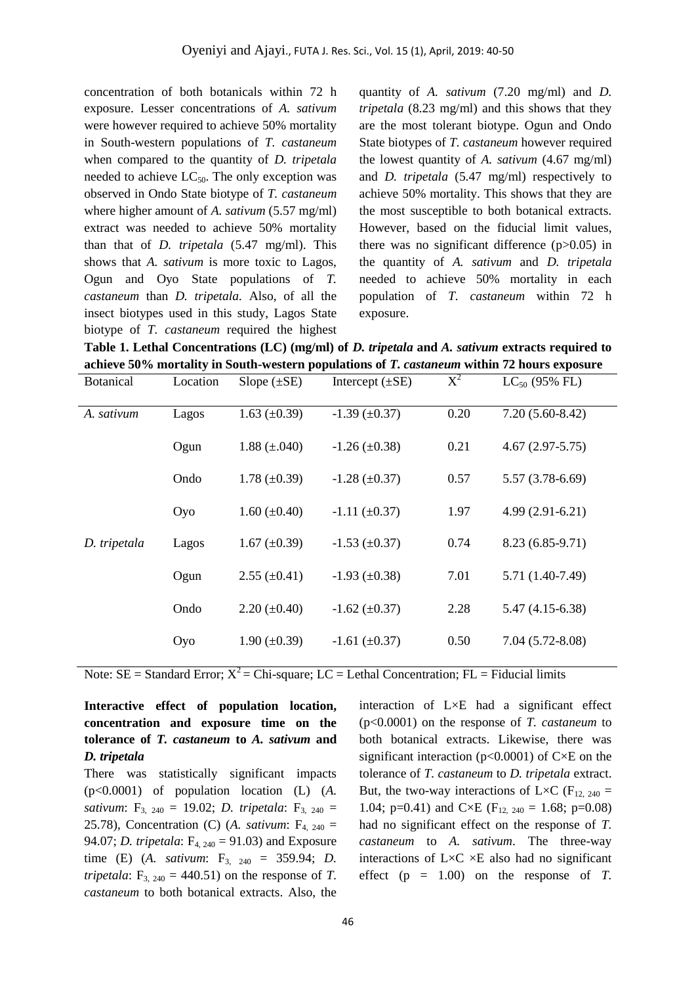concentration of both botanicals within 72 h exposure. Lesser concentrations of *A. sativum*  were however required to achieve 50% mortality in South-western populations of *T. castaneum*  when compared to the quantity of *D. tripetala* needed to achieve  $LC_{50}$ . The only exception was observed in Ondo State biotype of *T. castaneum* where higher amount of *A. sativum* (5.57 mg/ml) extract was needed to achieve 50% mortality than that of *D. tripetala* (5.47 mg/ml). This shows that *A. sativum* is more toxic to Lagos, Ogun and Oyo State populations of *T. castaneum* than *D. tripetala.* Also, of all the insect biotypes used in this study, Lagos State biotype of *T. castaneum* required the highest

quantity of *A. sativum* (7.20 mg/ml) and *D. tripetala* (8.23 mg/ml) and this shows that they are the most tolerant biotype. Ogun and Ondo State biotypes of *T. castaneum* however required the lowest quantity of *A. sativum* (4.67 mg/ml) and *D. tripetala* (5.47 mg/ml) respectively to achieve 50% mortality. This shows that they are the most susceptible to both botanical extracts. However, based on the fiducial limit values, there was no significant difference (p>0.05) in the quantity of *A. sativum* and *D. tripetala*  needed to achieve 50% mortality in each population of *T. castaneum* within 72 h exposure.

**Table 1. Lethal Concentrations (LC) (mg/ml) of** *D. tripetala* **and** *A. sativum* **extracts required to achieve 50% mortality in South-western populations of** *T. castaneum* **within 72 hours exposure**

| <b>Botanical</b> | Location | Slope $(\pm SE)$    | Intercept $(\pm SE)$ | $X^2$ | $LC_{50}$ (95% FL)  |
|------------------|----------|---------------------|----------------------|-------|---------------------|
| A. sativum       | Lagos    | 1.63 $(\pm 0.39)$   | $-1.39 \ (\pm 0.37)$ | 0.20  | $7.20(5.60-8.42)$   |
|                  | Ogun     | 1.88 $(\pm .040)$   | $-1.26 (\pm 0.38)$   | 0.21  | $4.67(2.97-5.75)$   |
|                  | Ondo     | $1.78 \ (\pm 0.39)$ | $-1.28 (\pm 0.37)$   | 0.57  | $5.57(3.78-6.69)$   |
|                  | Oyo      | $1.60 \ (\pm 0.40)$ | $-1.11 (\pm 0.37)$   | 1.97  | $4.99(2.91-6.21)$   |
| D. tripetala     | Lagos    | 1.67 $(\pm 0.39)$   | $-1.53 \ (\pm 0.37)$ | 0.74  | $8.23(6.85-9.71)$   |
|                  | Ogun     | $2.55 \ (\pm 0.41)$ | $-1.93 \ (\pm 0.38)$ | 7.01  | 5.71 (1.40-7.49)    |
|                  | Ondo     | $2.20 (\pm 0.40)$   | $-1.62 \ (\pm 0.37)$ | 2.28  | $5.47(4.15-6.38)$   |
|                  | Oyo      | $1.90 \ (\pm 0.39)$ | $-1.61 (\pm 0.37)$   | 0.50  | $7.04(5.72 - 8.08)$ |

Note:  $SE = Standard Error$ ;  $X^2 = Chi-square$ ;  $LC = Lethal Concentration$ ;  $FL = Fiducial limits$ 

**Interactive effect of population location, concentration and exposure time on the tolerance of** *T. castaneum* **to** *A. sativum* **and**  *D. tripetala*

There was statistically significant impacts (p<0.0001) of population location (L) (*A. sativum*: F<sub>3, 240</sub> = 19.02; *D. tripetala*: F<sub>3, 240</sub> = 25.78), Concentration (C) (*A. sativum*:  $F_{4, 240} =$ 94.07; *D. tripetala*:  $F_{4,240} = 91.03$  and Exposure time (E) (*A. sativum*: F<sub>3, 240</sub> = 359.94; *D. tripetala*:  $F_{3, 240} = 440.51$  on the response of *T*. *castaneum* to both botanical extracts. Also, the

interaction of L×E had a significant effect (p<0.0001) on the response of *T. castaneum* to both botanical extracts. Likewise, there was significant interaction ( $p<0.0001$ ) of C $\times$ E on the tolerance of *T. castaneum* to *D. tripetala* extract. But, the two-way interactions of L×C (F<sub>12, 240</sub> = 1.04; p=0.41) and C×E ( $F_{12, 240} = 1.68$ ; p=0.08) had no significant effect on the response of *T. castaneum* to *A. sativum*. The three-way interactions of  $L \times C \times E$  also had no significant effect  $(p = 1.00)$  on the response of *T*.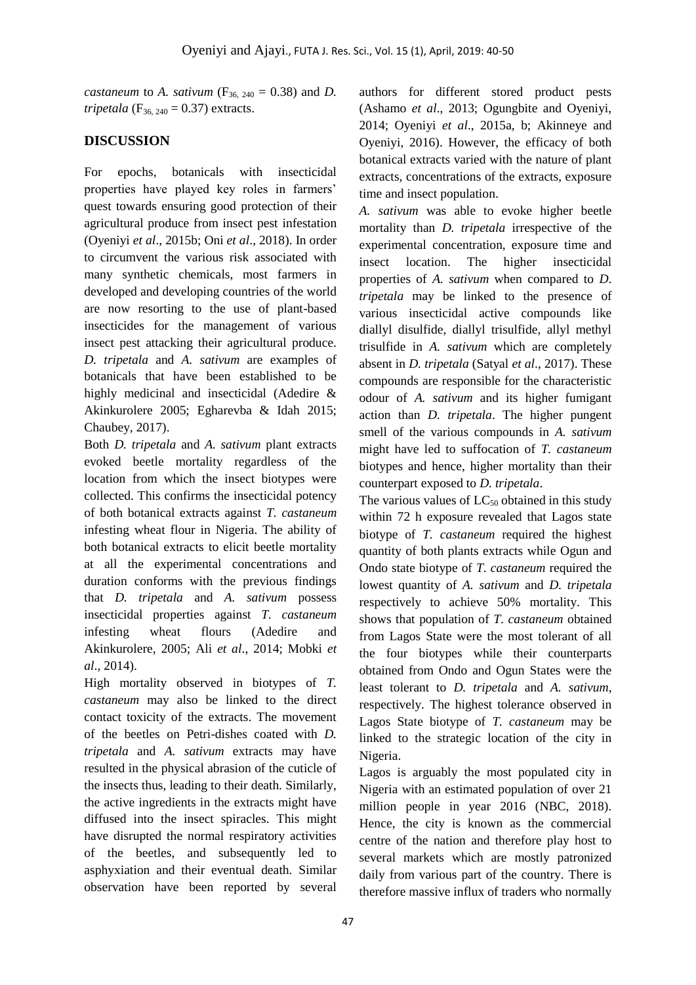*castaneum* to *A. sativum* ( $F_{36, 240} = 0.38$ ) and *D. tripetala* ( $F_{36, 240} = 0.37$ ) extracts.

# **DISCUSSION**

For epochs, botanicals with insecticidal properties have played key roles in farmers' quest towards ensuring good protection of their agricultural produce from insect pest infestation (Oyeniyi *et al*., 2015b; Oni *et al*., 2018). In order to circumvent the various risk associated with many synthetic chemicals, most farmers in developed and developing countries of the world are now resorting to the use of plant-based insecticides for the management of various insect pest attacking their agricultural produce. *D. tripetala* and *A. sativum* are examples of botanicals that have been established to be highly medicinal and insecticidal (Adedire & Akinkurolere 2005; Egharevba & Idah 2015; Chaubey, 2017).

Both *D. tripetala* and *A. sativum* plant extracts evoked beetle mortality regardless of the location from which the insect biotypes were collected. This confirms the insecticidal potency of both botanical extracts against *T. castaneum* infesting wheat flour in Nigeria. The ability of both botanical extracts to elicit beetle mortality at all the experimental concentrations and duration conforms with the previous findings that *D. tripetala* and *A. sativum* possess insecticidal properties against *T. castaneum* infesting wheat flours (Adedire and Akinkurolere, 2005; Ali *et al*., 2014; Mobki *et al*., 2014).

High mortality observed in biotypes of *T. castaneum* may also be linked to the direct contact toxicity of the extracts. The movement of the beetles on Petri-dishes coated with *D. tripetala* and *A. sativum* extracts may have resulted in the physical abrasion of the cuticle of the insects thus, leading to their death. Similarly, the active ingredients in the extracts might have diffused into the insect spiracles. This might have disrupted the normal respiratory activities of the beetles, and subsequently led to asphyxiation and their eventual death. Similar observation have been reported by several

authors for different stored product pests (Ashamo *et al*., 2013; Ogungbite and Oyeniyi, 2014; Oyeniyi *et al*., 2015a, b; Akinneye and Oyeniyi, 2016). However, the efficacy of both botanical extracts varied with the nature of plant extracts, concentrations of the extracts, exposure time and insect population.

*A. sativum* was able to evoke higher beetle mortality than *D. tripetala* irrespective of the experimental concentration, exposure time and insect location. The higher insecticidal properties of *A. sativum* when compared to *D*. *tripetala* may be linked to the presence of various insecticidal active compounds like diallyl disulfide, diallyl trisulfide, allyl methyl trisulfide in *A. sativum* which are completely absent in *D. tripetala* (Satyal *et al*., 2017). These compounds are responsible for the characteristic odour of *A. sativum* and its higher fumigant action than *D. tripetala*. The higher pungent smell of the various compounds in *A. sativum* might have led to suffocation of *T. castaneum* biotypes and hence, higher mortality than their counterpart exposed to *D. tripetala*.

The various values of  $LC_{50}$  obtained in this study within 72 h exposure revealed that Lagos state biotype of *T. castaneum* required the highest quantity of both plants extracts while Ogun and Ondo state biotype of *T. castaneum* required the lowest quantity of *A. sativum* and *D. tripetala*  respectively to achieve 50% mortality. This shows that population of *T*. *castaneum* obtained from Lagos State were the most tolerant of all the four biotypes while their counterparts obtained from Ondo and Ogun States were the least tolerant to *D. tripetala* and *A. sativum*, respectively. The highest tolerance observed in Lagos State biotype of *T. castaneum* may be linked to the strategic location of the city in Nigeria.

Lagos is arguably the most populated city in Nigeria with an estimated population of over 21 million people in year 2016 (NBC, 2018). Hence, the city is known as the commercial centre of the nation and therefore play host to several markets which are mostly patronized daily from various part of the country. There is therefore massive influx of traders who normally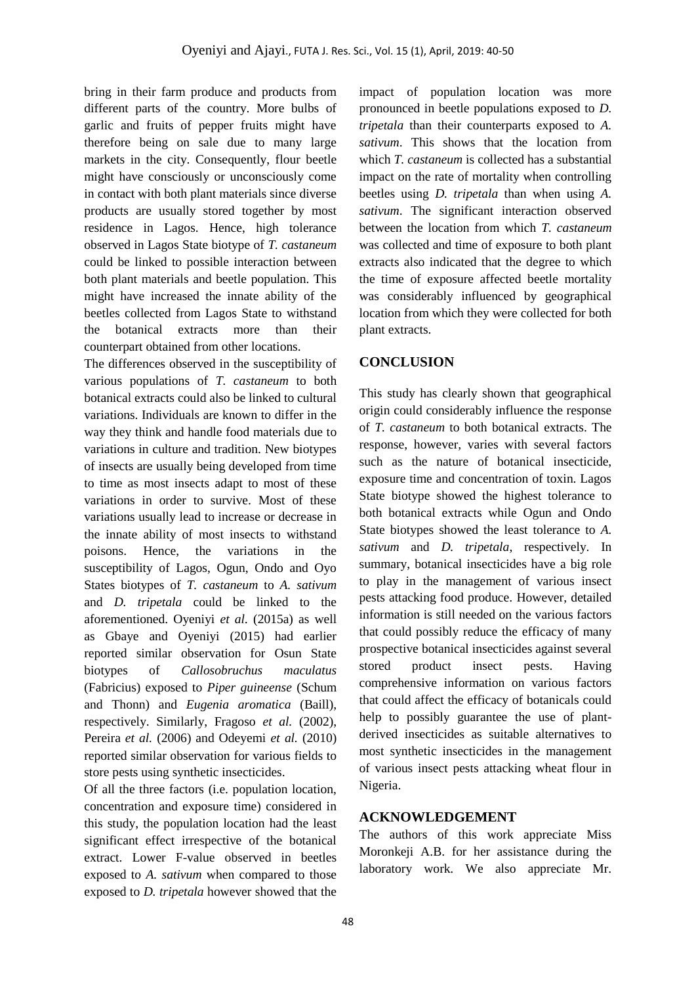bring in their farm produce and products from different parts of the country. More bulbs of garlic and fruits of pepper fruits might have therefore being on sale due to many large markets in the city. Consequently, flour beetle might have consciously or unconsciously come in contact with both plant materials since diverse products are usually stored together by most residence in Lagos. Hence, high tolerance observed in Lagos State biotype of *T. castaneum* could be linked to possible interaction between both plant materials and beetle population. This might have increased the innate ability of the beetles collected from Lagos State to withstand the botanical extracts more than their counterpart obtained from other locations.

The differences observed in the susceptibility of various populations of *T. castaneum* to both botanical extracts could also be linked to cultural variations. Individuals are known to differ in the way they think and handle food materials due to variations in culture and tradition. New biotypes of insects are usually being developed from time to time as most insects adapt to most of these variations in order to survive. Most of these variations usually lead to increase or decrease in the innate ability of most insects to withstand poisons. Hence, the variations in the susceptibility of Lagos, Ogun, Ondo and Oyo States biotypes of *T. castaneum* to *A. sativum* and *D. tripetala* could be linked to the aforementioned. Oyeniyi *et al.* (2015a) as well as Gbaye and Oyeniyi (2015) had earlier reported similar observation for Osun State biotypes of *Callosobruchus maculatus* (Fabricius) exposed to *Piper guineense* (Schum and Thonn) and *Eugenia aromatica* (Baill), respectively. Similarly, Fragoso *et al.* (2002), Pereira *et al.* (2006) and Odeyemi *et al.* (2010) reported similar observation for various fields to store pests using synthetic insecticides.

Of all the three factors (i.e. population location, concentration and exposure time) considered in this study, the population location had the least significant effect irrespective of the botanical extract. Lower F-value observed in beetles exposed to *A. sativum* when compared to those exposed to *D. tripetala* however showed that the

impact of population location was more pronounced in beetle populations exposed to *D. tripetala* than their counterparts exposed to *A. sativum*. This shows that the location from which *T. castaneum* is collected has a substantial impact on the rate of mortality when controlling beetles using *D. tripetala* than when using *A. sativum*. The significant interaction observed between the location from which *T. castaneum*  was collected and time of exposure to both plant extracts also indicated that the degree to which the time of exposure affected beetle mortality was considerably influenced by geographical location from which they were collected for both plant extracts.

# **CONCLUSION**

This study has clearly shown that geographical origin could considerably influence the response of *T. castaneum* to both botanical extracts. The response, however, varies with several factors such as the nature of botanical insecticide, exposure time and concentration of toxin. Lagos State biotype showed the highest tolerance to both botanical extracts while Ogun and Ondo State biotypes showed the least tolerance to *A. sativum* and *D. tripetala*, respectively. In summary, botanical insecticides have a big role to play in the management of various insect pests attacking food produce. However, detailed information is still needed on the various factors that could possibly reduce the efficacy of many prospective botanical insecticides against several stored product insect pests. Having comprehensive information on various factors that could affect the efficacy of botanicals could help to possibly guarantee the use of plantderived insecticides as suitable alternatives to most synthetic insecticides in the management of various insect pests attacking wheat flour in Nigeria.

## **ACKNOWLEDGEMENT**

The authors of this work appreciate Miss Moronkeji A.B. for her assistance during the laboratory work. We also appreciate Mr.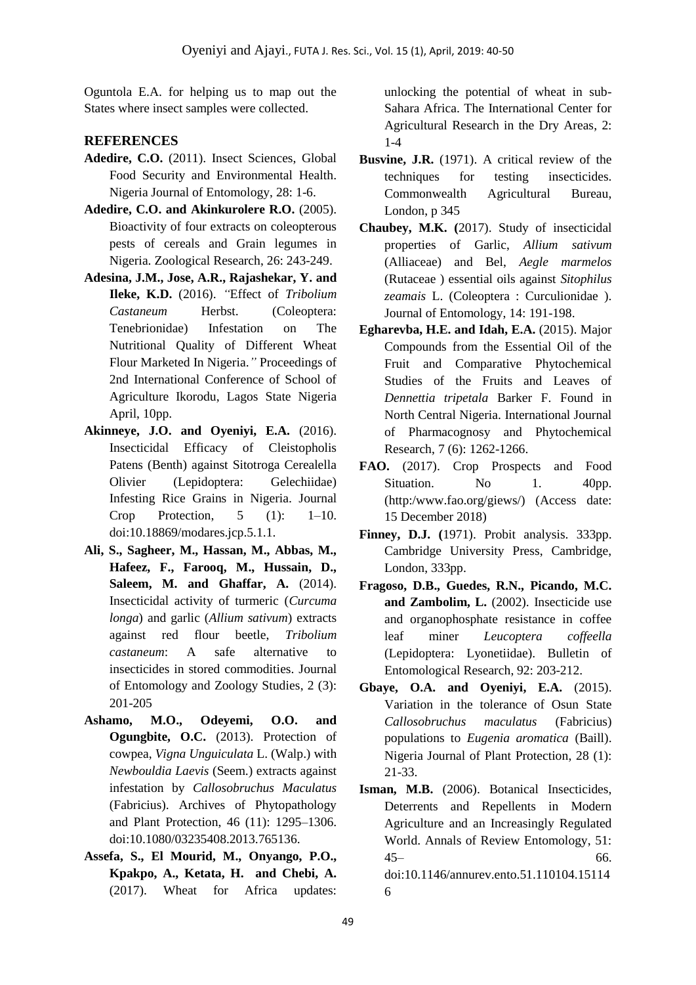Oguntola E.A. for helping us to map out the States where insect samples were collected.

### **REFERENCES**

- **Adedire, C.O.** (2011). Insect Sciences, Global Food Security and Environmental Health. Nigeria Journal of Entomology, 28: 1-6.
- **Adedire, C.O. and Akinkurolere R.O.** (2005). Bioactivity of four extracts on coleopterous pests of cereals and Grain legumes in Nigeria. Zoological Research, 26: 243-249.
- **Adesina, J.M., Jose, A.R., Rajashekar, Y. and Ileke, K.D.** (2016). *"*Effect of *Tribolium Castaneum* Herbst. (Coleoptera: Tenebrionidae) Infestation on The Nutritional Quality of Different Wheat Flour Marketed In Nigeria.*"* Proceedings of 2nd International Conference of School of Agriculture Ikorodu, Lagos State Nigeria April, 10pp.
- **Akinneye, J.O. and Oyeniyi, E.A.** (2016). Insecticidal Efficacy of Cleistopholis Patens (Benth) against Sitotroga Cerealella Olivier (Lepidoptera: Gelechiidae) Infesting Rice Grains in Nigeria. Journal Crop Protection, 5 (1): 1–10. doi:10.18869/modares.jcp.5.1.1.
- **Ali, S., Sagheer, M., Hassan, M., Abbas, M., Hafeez, F., Farooq, M., Hussain, D., Saleem, M. and Ghaffar, A.** (2014). Insecticidal activity of turmeric (*Curcuma longa*) and garlic (*Allium sativum*) extracts against red flour beetle, *Tribolium castaneum*: A safe alternative to insecticides in stored commodities. Journal of Entomology and Zoology Studies, 2 (3): 201-205
- **Ashamo, M.O., Odeyemi, O.O. and Ogungbite, O.C.** (2013). Protection of cowpea, *Vigna Unguiculata* L. (Walp.) with *Newbouldia Laevis* (Seem.) extracts against infestation by *Callosobruchus Maculatus* (Fabricius). Archives of Phytopathology and Plant Protection, 46 (11): 1295–1306. doi:10.1080/03235408.2013.765136.
- **Assefa, S., El Mourid, M., Onyango, P.O., Kpakpo, A., Ketata, H. and Chebi, A.** (2017). Wheat for Africa updates:

unlocking the potential of wheat in sub-Sahara Africa. The International Center for Agricultural Research in the Dry Areas, 2: 1-4

- **Busvine, J.R.** (1971). A critical review of the techniques for testing insecticides. Commonwealth Agricultural Bureau, London, p 345
- **Chaubey, M.K. (**2017). Study of insecticidal properties of Garlic, *Allium sativum* (Alliaceae) and Bel, *Aegle marmelos* (Rutaceae ) essential oils against *Sitophilus zeamais* L. (Coleoptera : Curculionidae ). Journal of Entomology, 14: 191-198.
- **Egharevba, H.E. and Idah, E.A.** (2015). Major Compounds from the Essential Oil of the Fruit and Comparative Phytochemical Studies of the Fruits and Leaves of *Dennettia tripetala* Barker F. Found in North Central Nigeria. International Journal of Pharmacognosy and Phytochemical Research, 7 (6): 1262-1266.
- FAO. (2017). Crop Prospects and Food Situation. No 1. 40pp. (http:/www.fao.org/giews/) (Access date: 15 December 2018)
- **Finney, D.J. (**1971). Probit analysis. 333pp. Cambridge University Press, Cambridge, London, 333pp.
- **Fragoso, D.B., Guedes, R.N., Picando, M.C. and Zambolim, L.** (2002). Insecticide use and organophosphate resistance in coffee leaf miner *Leucoptera coffeella*  (Lepidoptera: Lyonetiidae). Bulletin of Entomological Research, 92: 203-212.
- **Gbaye, O.A. and Oyeniyi, E.A.** (2015). Variation in the tolerance of Osun State *Callosobruchus maculatus* (Fabricius) populations to *Eugenia aromatica* (Baill). Nigeria Journal of Plant Protection, 28 (1): 21-33.
- **Isman, M.B.** (2006). Botanical Insecticides, Deterrents and Repellents in Modern Agriculture and an Increasingly Regulated World. Annals of Review Entomology, 51: 45– 66. doi:10.1146/annurev.ento.51.110104.15114 6